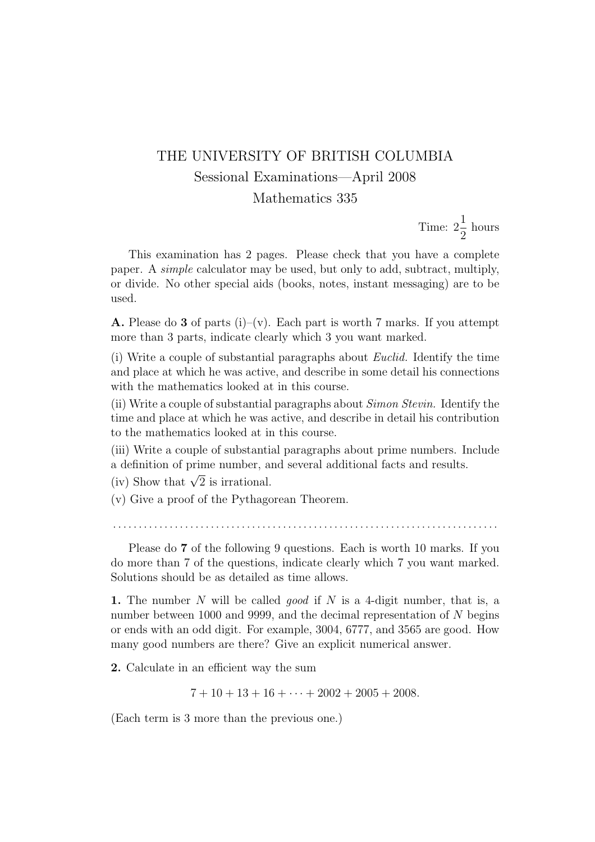## THE UNIVERSITY OF BRITISH COLUMBIA Sessional Examinations—April 2008 Mathematics 335

Time:  $2\frac{1}{2}$ 2 hours

This examination has 2 pages. Please check that you have a complete paper. A simple calculator may be used, but only to add, subtract, multiply, or divide. No other special aids (books, notes, instant messaging) are to be used.

**A.** Please do 3 of parts (i)–(v). Each part is worth 7 marks. If you attempt more than 3 parts, indicate clearly which 3 you want marked.

(i) Write a couple of substantial paragraphs about Euclid. Identify the time and place at which he was active, and describe in some detail his connections with the mathematics looked at in this course.

(ii) Write a couple of substantial paragraphs about Simon Stevin. Identify the time and place at which he was active, and describe in detail his contribution to the mathematics looked at in this course.

(iii) Write a couple of substantial paragraphs about prime numbers. Include a definition of prime number, and several additional facts and results.

(iv) Show that  $\sqrt{2}$  is irrational.

(v) Give a proof of the Pythagorean Theorem.

. . . . . . . . . . . . . . . . . . . . . . . . . . . . . . . . . . . . . . . . . . . . . . . . . . . . . . . . . . . . . . . . . . . . . . . . . . .

Please do 7 of the following 9 questions. Each is worth 10 marks. If you do more than 7 of the questions, indicate clearly which 7 you want marked. Solutions should be as detailed as time allows.

1. The number N will be called *good* if N is a 4-digit number, that is, a number between 1000 and 9999, and the decimal representation of N begins or ends with an odd digit. For example, 3004, 6777, and 3565 are good. How many good numbers are there? Give an explicit numerical answer.

2. Calculate in an efficient way the sum

 $7 + 10 + 13 + 16 + \cdots + 2002 + 2005 + 2008$ .

(Each term is 3 more than the previous one.)